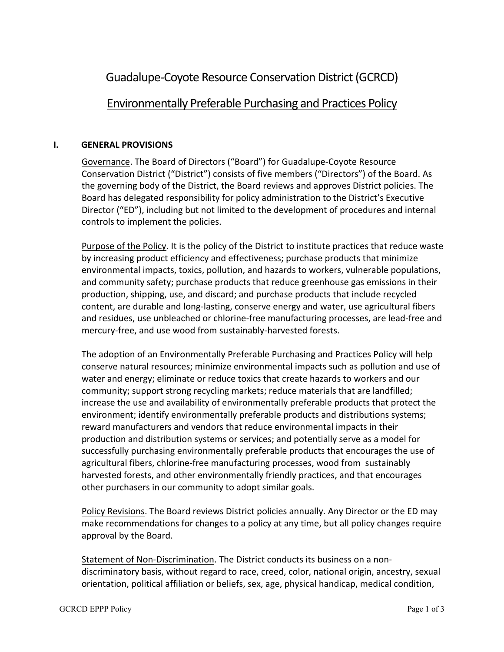# Guadalupe-Coyote Resource Conservation District(GCRCD)

# Environmentally Preferable Purchasing and Practices Policy

#### **I. GENERAL PROVISIONS**

Governance. The Board of Directors ("Board") for Guadalupe-Coyote Resource Conservation District ("District") consists of five members ("Directors") of the Board. As the governing body of the District, the Board reviews and approves District policies. The Board has delegated responsibility for policy administration to the District's Executive Director ("ED"), including but not limited to the development of procedures and internal controls to implement the policies.

Purpose of the Policy. It is the policy of the District to institute practices that reduce waste by increasing product efficiency and effectiveness; purchase products that minimize environmental impacts, toxics, pollution, and hazards to workers, vulnerable populations, and community safety; purchase products that reduce greenhouse gas emissions in their production, shipping, use, and discard; and purchase products that include recycled content, are durable and long-lasting, conserve energy and water, use agricultural fibers and residues, use unbleached or chlorine-free manufacturing processes, are lead-free and mercury-free, and use wood from sustainably-harvested forests.

The adoption of an Environmentally Preferable Purchasing and Practices Policy will help conserve natural resources; minimize environmental impacts such as pollution and use of water and energy; eliminate or reduce toxics that create hazards to workers and our community; support strong recycling markets; reduce materials that are landfilled; increase the use and availability of environmentally preferable products that protect the environment; identify environmentally preferable products and distributions systems; reward manufacturers and vendors that reduce environmental impacts in their production and distribution systems or services; and potentially serve as a model for successfully purchasing environmentally preferable products that encourages the use of agricultural fibers, chlorine-free manufacturing processes, wood from sustainably harvested forests, and other environmentally friendly practices, and that encourages other purchasers in our community to adopt similar goals.

Policy Revisions. The Board reviews District policies annually. Any Director or the ED may make recommendations for changes to a policy at any time, but all policy changes require approval by the Board.

Statement of Non-Discrimination. The District conducts its business on a nondiscriminatory basis, without regard to race, creed, color, national origin, ancestry, sexual orientation, political affiliation or beliefs, sex, age, physical handicap, medical condition,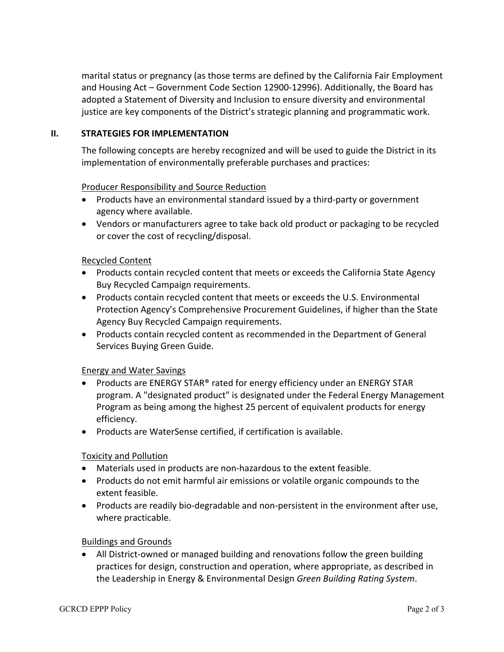marital status or pregnancy (as those terms are defined by the California Fair Employment and Housing Act – Government Code Section 12900-12996). Additionally, the Board has adopted a Statement of Diversity and Inclusion to ensure diversity and environmental justice are key components of the District's strategic planning and programmatic work.

#### **II. STRATEGIES FOR IMPLEMENTATION**

The following concepts are hereby recognized and will be used to guide the District in its implementation of environmentally preferable purchases and practices:

#### Producer Responsibility and Source Reduction

- Products have an environmental standard issued by a third-party or government agency where available.
- Vendors or manufacturers agree to take back old product or packaging to be recycled or cover the cost of recycling/disposal.

## Recycled Content

- Products contain recycled content that meets or exceeds the California State Agency Buy Recycled Campaign requirements.
- Products contain recycled content that meets or exceeds the U.S. Environmental Protection Agency's Comprehensive Procurement Guidelines, if higher than the State Agency Buy Recycled Campaign requirements.
- Products contain recycled content as recommended in the Department of General Services Buying Green Guide.

#### Energy and Water Savings

- Products are ENERGY STAR® rated for energy efficiency under an ENERGY STAR program. A "designated product" is designated under the Federal Energy Management Program as being among the highest 25 percent of equivalent products for energy efficiency.
- Products are WaterSense certified, if certification is available.

#### Toxicity and Pollution

- Materials used in products are non-hazardous to the extent feasible.
- Products do not emit harmful air emissions or volatile organic compounds to the extent feasible.
- Products are readily bio-degradable and non-persistent in the environment after use, where practicable.

#### Buildings and Grounds

• All District-owned or managed building and renovations follow the green building practices for design, construction and operation, where appropriate, as described in the Leadership in Energy & Environmental Design *Green Building Rating System*.